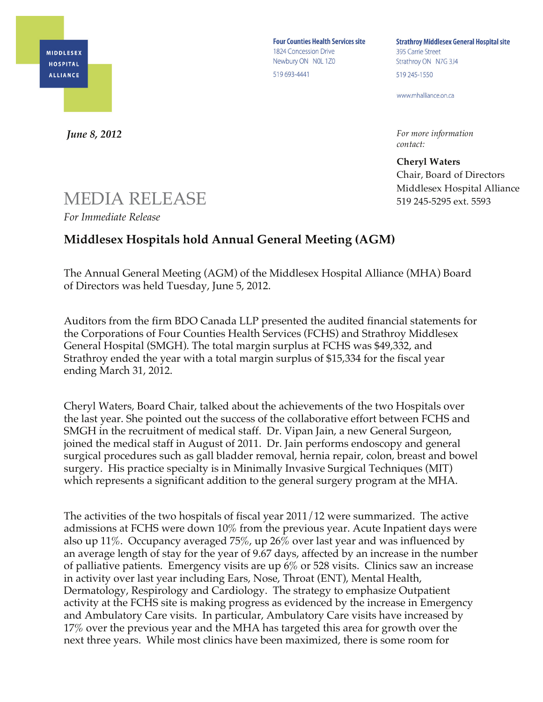**MIDDLESEX HOSPITAL ALLIANCE** 

**Four Counties Health Services site** 1824 Concession Drive Newbury ON NOL 1Z0 519 693-4441

**Strathroy Middlesex General Hospital site** 395 Carrie Street Strathroy ON N7G 3J4 519 245-1550

www.mhalliance.on.ca

*For more information contact:*

**Cheryl Waters** Chair, Board of Directors Middlesex Hospital Alliance 519 245-5295 ext. 5593

## MEDIA RELEASE

*For Immediate Release*

*June 8, 2012*

## **Middlesex Hospitals hold Annual General Meeting (AGM)**

The Annual General Meeting (AGM) of the Middlesex Hospital Alliance (MHA) Board of Directors was held Tuesday, June 5, 2012.

Auditors from the firm BDO Canada LLP presented the audited financial statements for the Corporations of Four Counties Health Services (FCHS) and Strathroy Middlesex General Hospital (SMGH). The total margin surplus at FCHS was \$49,332, and Strathroy ended the year with a total margin surplus of \$15,334 for the fiscal year ending March 31, 2012.

Cheryl Waters, Board Chair, talked about the achievements of the two Hospitals over the last year. She pointed out the success of the collaborative effort between FCHS and SMGH in the recruitment of medical staff. Dr. Vipan Jain, a new General Surgeon, joined the medical staff in August of 2011. Dr. Jain performs endoscopy and general surgical procedures such as gall bladder removal, hernia repair, colon, breast and bowel surgery. His practice specialty is in Minimally Invasive Surgical Techniques (MIT) which represents a significant addition to the general surgery program at the MHA.

The activities of the two hospitals of fiscal year 2011/12 were summarized. The active admissions at FCHS were down 10% from the previous year. Acute Inpatient days were also up 11%. Occupancy averaged 75%, up 26% over last year and was influenced by an average length of stay for the year of 9.67 days, affected by an increase in the number of palliative patients. Emergency visits are up 6% or 528 visits. Clinics saw an increase in activity over last year including Ears, Nose, Throat (ENT), Mental Health, Dermatology, Respirology and Cardiology. The strategy to emphasize Outpatient activity at the FCHS site is making progress as evidenced by the increase in Emergency and Ambulatory Care visits. In particular, Ambulatory Care visits have increased by 17% over the previous year and the MHA has targeted this area for growth over the next three years. While most clinics have been maximized, there is some room for